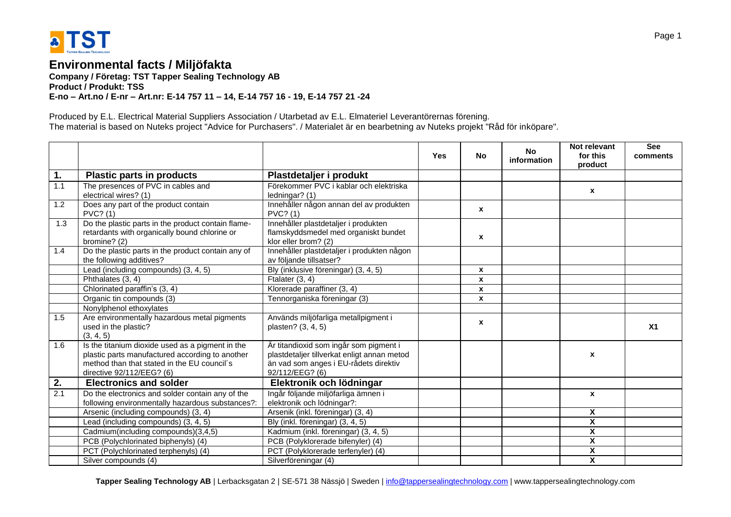

**Company / Företag: TST Tapper Sealing Technology AB Product / Produkt: TSS E-no – Art.no / E-nr – Art.nr: E-14 757 11 – 14, E-14 757 16 - 19, E-14 757 21 -24**

#### Produced by E.L. Electrical Material Suppliers Association / Utarbetad av E.L. Elmateriel Leverantörernas förening. The material is based on Nuteks project "Advice for Purchasers". / Materialet är en bearbetning av Nuteks projekt "Råd för inköpare".

|     |                                                                                                                                                                                 |                                                                                                                                                   | <b>Yes</b> | <b>No</b>    | <b>No</b><br>information | Not relevant<br>for this<br>product | <b>See</b><br>comments |
|-----|---------------------------------------------------------------------------------------------------------------------------------------------------------------------------------|---------------------------------------------------------------------------------------------------------------------------------------------------|------------|--------------|--------------------------|-------------------------------------|------------------------|
| 1.  | <b>Plastic parts in products</b>                                                                                                                                                | Plastdetaljer i produkt                                                                                                                           |            |              |                          |                                     |                        |
| 1.1 | The presences of PVC in cables and<br>electrical wires? (1)                                                                                                                     | Förekommer PVC i kablar och elektriska<br>ledningar? (1)                                                                                          |            |              |                          | X                                   |                        |
| 1.2 | Does any part of the product contain<br>PVC? (1)                                                                                                                                | Innehåller någon annan del av produkten<br><b>PVC?</b> (1)                                                                                        |            | $\mathbf{x}$ |                          |                                     |                        |
| 1.3 | Do the plastic parts in the product contain flame-<br>retardants with organically bound chlorine or<br>bromine? (2)                                                             | Innehåller plastdetaljer i produkten<br>flamskyddsmedel med organiskt bundet<br>klor eller brom? (2)                                              |            | x            |                          |                                     |                        |
| 1.4 | Do the plastic parts in the product contain any of<br>the following additives?                                                                                                  | Innehåller plastdetaljer i produkten någon<br>av följande tillsatser?                                                                             |            |              |                          |                                     |                        |
|     | Lead (including compounds) (3, 4, 5)                                                                                                                                            | Bly (inklusive föreningar) (3, 4, 5)                                                                                                              |            | $\mathbf{x}$ |                          |                                     |                        |
|     | Phthalates (3, 4)                                                                                                                                                               | Ftalater (3, 4)                                                                                                                                   |            | $\mathbf{x}$ |                          |                                     |                        |
|     | Chlorinated paraffin's (3, 4)                                                                                                                                                   | Klorerade paraffiner (3, 4)                                                                                                                       |            | $\mathbf{x}$ |                          |                                     |                        |
|     | Organic tin compounds (3)                                                                                                                                                       | Tennorganiska föreningar (3)                                                                                                                      |            | X            |                          |                                     |                        |
|     | Nonylphenol ethoxylates                                                                                                                                                         |                                                                                                                                                   |            |              |                          |                                     |                        |
| 1.5 | Are environmentally hazardous metal pigments<br>used in the plastic?<br>(3, 4, 5)                                                                                               | Används miljöfarliga metallpigment i<br>plasten? (3, 4, 5)                                                                                        |            | $\mathbf{x}$ |                          |                                     | X <sub>1</sub>         |
| 1.6 | Is the titanium dioxide used as a pigment in the<br>plastic parts manufactured according to another<br>method than that stated in the EU council's<br>directive 92/112/EEG? (6) | Är titandioxid som ingår som pigment i<br>plastdetaljer tillverkat enligt annan metod<br>än vad som anges i EU-rådets direktiv<br>92/112/EEG? (6) |            |              |                          | X                                   |                        |
| 2.  | <b>Electronics and solder</b>                                                                                                                                                   | Elektronik och lödningar                                                                                                                          |            |              |                          |                                     |                        |
| 2.1 | Do the electronics and solder contain any of the<br>following environmentally hazardous substances?:                                                                            | Ingår följande miljöfarliga ämnen i<br>elektronik och lödningar?:                                                                                 |            |              |                          | $\mathbf x$                         |                        |
|     | Arsenic (including compounds) (3, 4)                                                                                                                                            | Arsenik (inkl. föreningar) (3, 4)                                                                                                                 |            |              |                          | X                                   |                        |
|     | Lead (including compounds) (3, 4, 5)                                                                                                                                            | Bly (inkl. föreningar) (3, 4, 5)                                                                                                                  |            |              |                          | $\overline{\mathsf{x}}$             |                        |
|     | Cadmium(including compounds)(3,4,5)                                                                                                                                             | Kadmium (inkl. föreningar) (3, 4, 5)                                                                                                              |            |              |                          | $\overline{\mathbf{x}}$             |                        |
|     | PCB (Polychlorinated biphenyls) (4)                                                                                                                                             | PCB (Polyklorerade bifenyler) (4)                                                                                                                 |            |              |                          | $\overline{\mathbf{x}}$             |                        |
|     | PCT (Polychlorinated terphenyls) (4)                                                                                                                                            | PCT (Polyklorerade terfenyler) (4)                                                                                                                |            |              |                          | $\overline{\mathbf{x}}$             |                        |
|     | Silver compounds (4)                                                                                                                                                            | Silverföreningar (4)                                                                                                                              |            |              |                          | $\overline{\mathbf{x}}$             |                        |

Tapper Sealing Technology AB | Lerbacksgatan 2 | SE-571 38 Nässjö | Sweden | info@tappersealingtechnology.com | www.tappersealingtechnology.com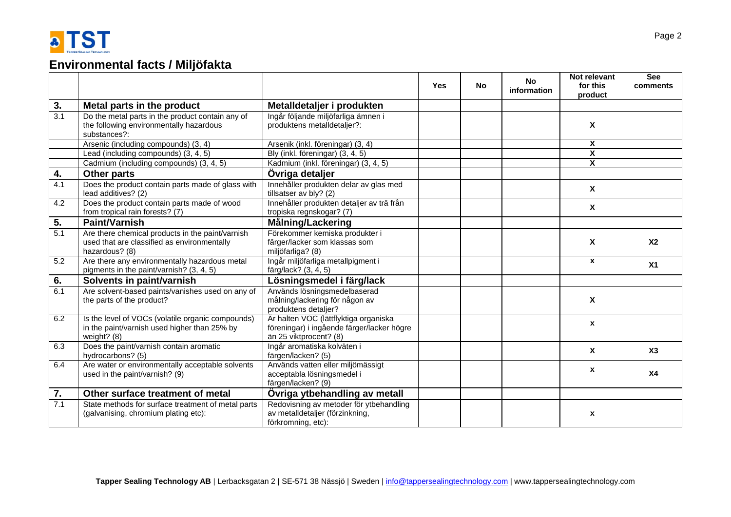

|                  |                                                                                                                   |                                                                                                               | <b>Yes</b> | <b>No</b> | <b>No</b><br>information | Not relevant<br>for this<br>product | <b>See</b><br>comments |
|------------------|-------------------------------------------------------------------------------------------------------------------|---------------------------------------------------------------------------------------------------------------|------------|-----------|--------------------------|-------------------------------------|------------------------|
| 3.               | Metal parts in the product                                                                                        | Metalldetaljer i produkten                                                                                    |            |           |                          |                                     |                        |
| $\overline{3.1}$ | Do the metal parts in the product contain any of<br>the following environmentally hazardous<br>substances?:       | Ingår följande miljöfarliga ämnen i<br>produktens metalldetaljer?:                                            |            |           |                          | X                                   |                        |
|                  | Arsenic (including compounds) (3, 4)                                                                              | Arsenik (inkl. föreningar) (3, 4)                                                                             |            |           |                          | X                                   |                        |
|                  | Lead (including compounds) (3, 4, 5)                                                                              | Bly (inkl. föreningar) (3, 4, 5)                                                                              |            |           |                          | $\overline{\mathbf{x}}$             |                        |
|                  | Cadmium (including compounds) (3, 4, 5)                                                                           | Kadmium (inkl. föreningar) (3, 4, 5)                                                                          |            |           |                          | $\overline{\mathsf{x}}$             |                        |
| 4.               | <b>Other parts</b>                                                                                                | Övriga detaljer                                                                                               |            |           |                          |                                     |                        |
| 4.1              | Does the product contain parts made of glass with<br>lead additives? (2)                                          | Innehåller produkten delar av glas med<br>tillsatser av bly? (2)                                              |            |           |                          | X                                   |                        |
| 4.2              | Does the product contain parts made of wood<br>from tropical rain forests? (7)                                    | Innehåller produkten detaljer av trä från<br>tropiska regnskogar? (7)                                         |            |           |                          | X                                   |                        |
| 5.               | <b>Paint/Varnish</b>                                                                                              | Målning/Lackering                                                                                             |            |           |                          |                                     |                        |
| 5.1              | Are there chemical products in the paint/varnish<br>used that are classified as environmentally<br>hazardous? (8) | Förekommer kemiska produkter i<br>färger/lacker som klassas som<br>miljöfarliga? (8)                          |            |           |                          | X                                   | X <sub>2</sub>         |
| 5.2              | Are there any environmentally hazardous metal<br>pigments in the paint/varnish? (3, 4, 5)                         | Ingår miljöfarliga metallpigment i<br>färg/lack? (3, 4, 5)                                                    |            |           |                          | X                                   | X <sub>1</sub>         |
| 6.               | Solvents in paint/varnish                                                                                         | Lösningsmedel i färg/lack                                                                                     |            |           |                          |                                     |                        |
| 6.1              | Are solvent-based paints/vanishes used on any of<br>the parts of the product?                                     | Används lösningsmedelbaserad<br>målning/lackering för någon av<br>produktens detaljer?                        |            |           |                          | X                                   |                        |
| 6.2              | Is the level of VOCs (volatile organic compounds)<br>in the paint/varnish used higher than 25% by<br>weight? (8)  | Är halten VOC (lättflyktiga organiska<br>föreningar) i ingående färger/lacker högre<br>än 25 viktprocent? (8) |            |           |                          | $\mathbf{x}$                        |                        |
| 6.3              | Does the paint/varnish contain aromatic<br>hydrocarbons? (5)                                                      | Ingår aromatiska kolväten i<br>färgen/lacken? (5)                                                             |            |           |                          | X                                   | X3                     |
| 6.4              | Are water or environmentally acceptable solvents<br>used in the paint/varnish? (9)                                | Används vatten eller miljömässigt<br>acceptabla lösningsmedel i<br>färgen/lacken? (9)                         |            |           |                          | X                                   | <b>X4</b>              |
| 7.               | Other surface treatment of metal                                                                                  | Övriga ytbehandling av metall                                                                                 |            |           |                          |                                     |                        |
| 7.1              | State methods for surface treatment of metal parts<br>(galvanising, chromium plating etc):                        | Redovisning av metoder för ytbehandling<br>av metalldetaljer (förzinkning,<br>förkromning, etc):              |            |           |                          | x                                   |                        |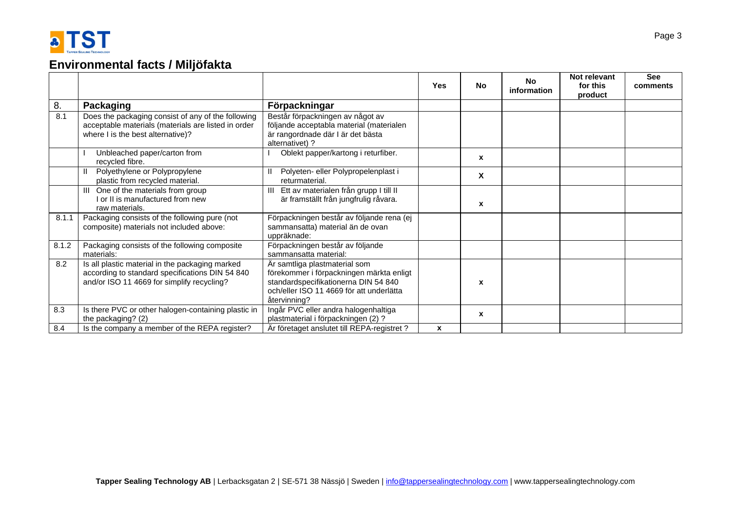

|       |                                                                                                                                                  |                                                                                                                                                                               | <b>Yes</b> | <b>No</b> | <b>No</b><br>information | <b>Not relevant</b><br>for this<br>product | <b>See</b><br>comments |
|-------|--------------------------------------------------------------------------------------------------------------------------------------------------|-------------------------------------------------------------------------------------------------------------------------------------------------------------------------------|------------|-----------|--------------------------|--------------------------------------------|------------------------|
| 8.    | Packaging                                                                                                                                        | Förpackningar                                                                                                                                                                 |            |           |                          |                                            |                        |
| 8.1   | Does the packaging consist of any of the following<br>acceptable materials (materials are listed in order<br>where I is the best alternative)?   | Består förpackningen av något av<br>följande acceptabla material (materialen<br>är rangordnade där I är det bästa<br>alternativet) ?                                          |            |           |                          |                                            |                        |
|       | Unbleached paper/carton from<br>recycled fibre.                                                                                                  | Oblekt papper/kartong i returfiber.                                                                                                                                           |            | x         |                          |                                            |                        |
|       | Polyethylene or Polypropylene<br>plastic from recycled material.                                                                                 | Polyeten- eller Polypropelenplast i<br>returmaterial.                                                                                                                         |            | X         |                          |                                            |                        |
|       | III One of the materials from group<br>I or II is manufactured from new<br>raw materials.                                                        | Ett av materialen från grupp I till II<br>Ш<br>är framställt från jungfrulig råvara.                                                                                          |            | X         |                          |                                            |                        |
| 8.1.1 | Packaging consists of the following pure (not<br>composite) materials not included above:                                                        | Förpackningen består av följande rena (ej<br>sammansatta) material än de ovan<br>uppräknade:                                                                                  |            |           |                          |                                            |                        |
| 8.1.2 | Packaging consists of the following composite<br>materials:                                                                                      | Förpackningen består av följande<br>sammansatta material:                                                                                                                     |            |           |                          |                                            |                        |
| 8.2   | Is all plastic material in the packaging marked<br>according to standard specifications DIN 54 840<br>and/or ISO 11 4669 for simplify recycling? | Ar samtliga plastmaterial som<br>förekommer i förpackningen märkta enligt<br>standardspecifikationerna DIN 54 840<br>och/eller ISO 11 4669 för att underlätta<br>atervinning? |            | X         |                          |                                            |                        |
| 8.3   | Is there PVC or other halogen-containing plastic in<br>the packaging? (2)                                                                        | Ingår PVC eller andra halogenhaltiga<br>plastmaterial i förpackningen (2) ?                                                                                                   |            | x         |                          |                                            |                        |
| 8.4   | Is the company a member of the REPA register?                                                                                                    | Är företaget anslutet till REPA-registret?                                                                                                                                    | X          |           |                          |                                            |                        |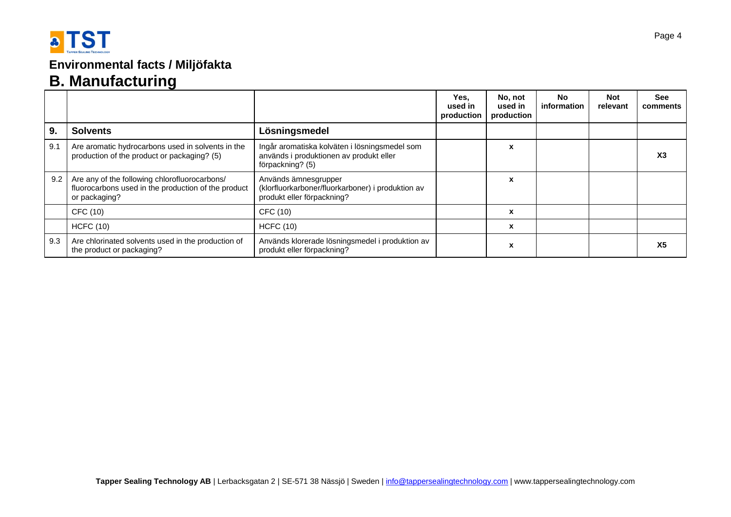

# **B. Manufacturing**

|     |                                                                                                                       |                                                                                                              | Yes,<br>used in<br>production | No, not<br>used in<br>production | No<br>information | <b>Not</b><br>relevant | <b>See</b><br>comments |
|-----|-----------------------------------------------------------------------------------------------------------------------|--------------------------------------------------------------------------------------------------------------|-------------------------------|----------------------------------|-------------------|------------------------|------------------------|
| 9.  | <b>Solvents</b>                                                                                                       | Lösningsmedel                                                                                                |                               |                                  |                   |                        |                        |
| 9.1 | Are aromatic hydrocarbons used in solvents in the<br>production of the product or packaging? (5)                      | Ingår aromatiska kolväten i lösningsmedel som<br>används i produktionen av produkt eller<br>förpackning? (5) |                               | X                                |                   |                        | X <sub>3</sub>         |
| 9.2 | Are any of the following chlorofluorocarbons/<br>fluorocarbons used in the production of the product<br>or packaging? | Används ämnesgrupper<br>(klorfluorkarboner/fluorkarboner) i produktion av<br>produkt eller förpackning?      |                               | X                                |                   |                        |                        |
|     | CFC (10)                                                                                                              | CFC (10)                                                                                                     |                               | X                                |                   |                        |                        |
|     | <b>HCFC (10)</b>                                                                                                      | <b>HCFC (10)</b>                                                                                             |                               | X                                |                   |                        |                        |
| 9.3 | Are chlorinated solvents used in the production of<br>the product or packaging?                                       | Används klorerade lösningsmedel i produktion av<br>produkt eller förpackning?                                |                               |                                  |                   |                        | X <sub>5</sub>         |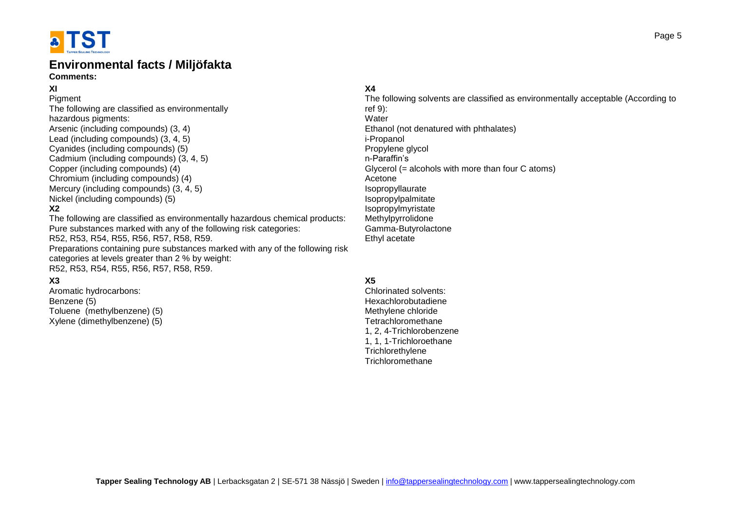

#### **Comments:**

### **XI**

**Pigment** The following are classified as environmentally hazardous pigments: Arsenic (including compounds) (3, 4) Lead (including compounds) (3, 4, 5) Cyanides (including compounds) (5) Cadmium (including compounds) (3, 4, 5) Copper (including compounds) (4) Chromium (including compounds) (4) Mercury (including compounds) (3, 4, 5) Nickel (including compounds) (5) **X2** The following are classified as environmentally hazardous chemical products: Pure substances marked with any of the following risk categories: R52, R53, R54, R55, R56, R57, R58, R59.

Preparations containing pure substances marked with any of the following risk categories at levels greater than 2 % by weight: R52, R53, R54, R55, R56, R57, R58, R59.

### **X3**

Aromatic hydrocarbons: Benzene (5) Toluene (methylbenzene) (5) Xylene (dimethylbenzene) (5)

### **X4**

The following solvents are classified as environmentally acceptable (According to ref 9): **Water** Ethanol (not denatured with phthalates) i-Propanol Propylene glycol n-Paraffin's Glycerol (= alcohols with more than four C atoms) Acetone Isopropyllaurate Isopropylpalmitate Isopropylmyristate Methylpyrrolidone Gamma-Butyrolactone Ethyl acetate

### **X5**

Chlorinated solvents: Hexachlorobutadiene Methylene chloride **Tetrachloromethane** 1, 2, 4-Trichlorobenzene 1, 1, 1-Trichloroethane **Trichlorethylene Trichloromethane**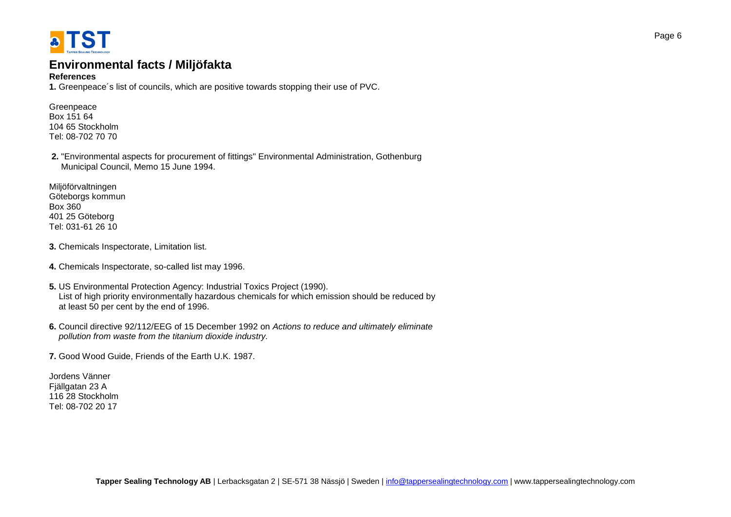

#### **References**

**1.** Greenpeace´s list of councils, which are positive towards stopping their use of PVC.

Greenpeace Box 151 64 104 65 Stockholm Tel: 08-702 70 70

**2.** "Environmental aspects for procurement of fittings" Environmental Administration, Gothenburg Municipal Council, Memo 15 June 1994.

Miljöförvaltningen Göteborgs kommun Box 360 401 25 Göteborg Tel: 031-61 26 10

- **3.** Chemicals Inspectorate, Limitation list.
- **4.** Chemicals Inspectorate, so-called list may 1996.
- **5.** US Environmental Protection Agency: Industrial Toxics Project (1990). List of high priority environmentally hazardous chemicals for which emission should be reduced by at least 50 per cent by the end of 1996.
- **6.** Council directive 92/112/EEG of 15 December 1992 on *Actions to reduce and ultimately eliminate pollution from waste from the titanium dioxide industry.*
- **7.** Good Wood Guide, Friends of the Earth U.K. 1987.

Jordens Vänner Fjällgatan 23 A 116 28 Stockholm Tel: 08-702 20 17